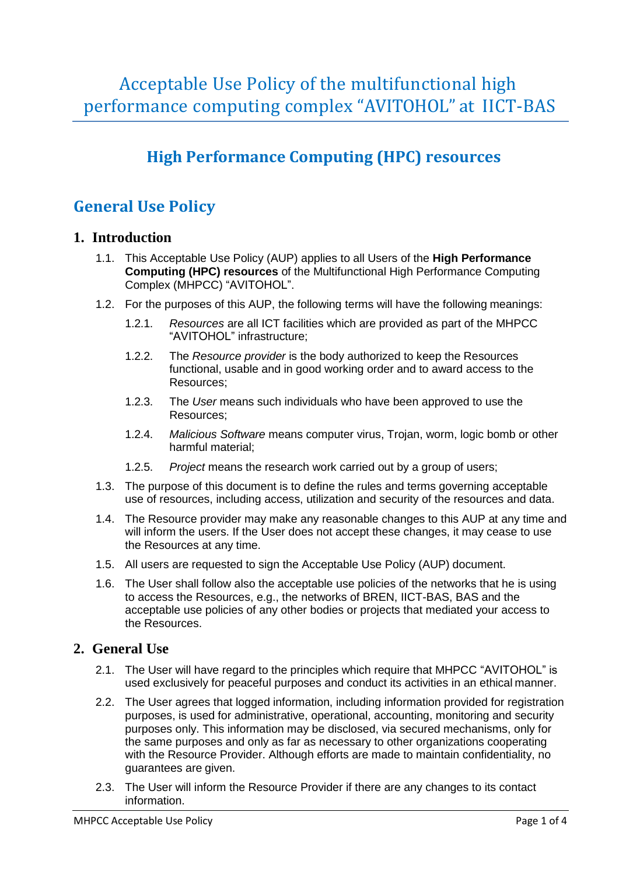Acceptable Use Policy of the multifunctional high performance computing complex "AVITOHOL" at IICT-BAS

# **High Performance Computing (HPC) resources**

## **General Use Policy**

### **1. Introduction**

- 1.1. This Acceptable Use Policy (AUP) applies to all Users of the **High Performance Computing (HPC) resources** of the Multifunctional High Performance Computing Complex (MHPCC) "AVITOHOL".
- 1.2. For the purposes of this AUP, the following terms will have the following meanings:
	- 1.2.1. *Resources* are all ICT facilities which are provided as part of the MHPCC "AVITOHOL" infrastructure;
	- 1.2.2. The *Resource provider* is the body authorized to keep the Resources functional, usable and in good working order and to award access to the Resources;
	- 1.2.3. The *User* means such individuals who have been approved to use the Resources;
	- 1.2.4. *Malicious Software* means computer virus, Trojan, worm, logic bomb or other harmful material;
	- 1.2.5. *Project* means the research work carried out by a group of users;
- 1.3. The purpose of this document is to define the rules and terms governing acceptable use of resources, including access, utilization and security of the resources and data.
- 1.4. The Resource provider may make any reasonable changes to this AUP at any time and will inform the users. If the User does not accept these changes, it may cease to use the Resources at any time.
- 1.5. All users are requested to sign the Acceptable Use Policy (AUP) document.
- 1.6. The User shall follow also the acceptable use policies of the networks that he is using to access the Resources, e.g., the networks of BREN, IICT-BAS, BAS and the acceptable use policies of any other bodies or projects that mediated your access to the Resources.

### **2. General Use**

- 2.1. The User will have regard to the principles which require that MHPCC "AVITOHOL" is used exclusively for peaceful purposes and conduct its activities in an ethical manner.
- 2.2. The User agrees that logged information, including information provided for registration purposes, is used for administrative, operational, accounting, monitoring and security purposes only. This information may be disclosed, via secured mechanisms, only for the same purposes and only as far as necessary to other organizations cooperating with the Resource Provider. Although efforts are made to maintain confidentiality, no guarantees are given.
- 2.3. The User will inform the Resource Provider if there are any changes to its contact information.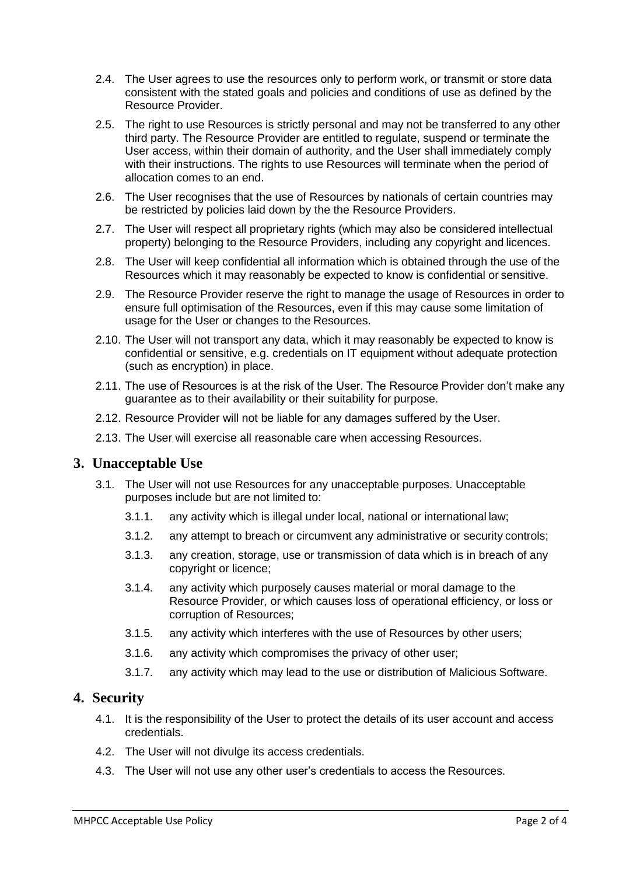- 2.4. The User agrees to use the resources only to perform work, or transmit or store data consistent with the stated goals and policies and conditions of use as defined by the Resource Provider.
- 2.5. The right to use Resources is strictly personal and may not be transferred to any other third party. The Resource Provider are entitled to regulate, suspend or terminate the User access, within their domain of authority, and the User shall immediately comply with their instructions. The rights to use Resources will terminate when the period of allocation comes to an end.
- 2.6. The User recognises that the use of Resources by nationals of certain countries may be restricted by policies laid down by the the Resource Providers.
- 2.7. The User will respect all proprietary rights (which may also be considered intellectual property) belonging to the Resource Providers, including any copyright and licences.
- 2.8. The User will keep confidential all information which is obtained through the use of the Resources which it may reasonably be expected to know is confidential or sensitive.
- 2.9. The Resource Provider reserve the right to manage the usage of Resources in order to ensure full optimisation of the Resources, even if this may cause some limitation of usage for the User or changes to the Resources.
- 2.10. The User will not transport any data, which it may reasonably be expected to know is confidential or sensitive, e.g. credentials on IT equipment without adequate protection (such as encryption) in place.
- 2.11. The use of Resources is at the risk of the User. The Resource Provider don't make any guarantee as to their availability or their suitability for purpose.
- 2.12. Resource Provider will not be liable for any damages suffered by the User.
- 2.13. The User will exercise all reasonable care when accessing Resources.

#### **3. Unacceptable Use**

- 3.1. The User will not use Resources for any unacceptable purposes. Unacceptable purposes include but are not limited to:
	- 3.1.1. any activity which is illegal under local, national or international law;
	- 3.1.2. any attempt to breach or circumvent any administrative or security controls;
	- 3.1.3. any creation, storage, use or transmission of data which is in breach of any copyright or licence;
	- 3.1.4. any activity which purposely causes material or moral damage to the Resource Provider, or which causes loss of operational efficiency, or loss or corruption of Resources;
	- 3.1.5. any activity which interferes with the use of Resources by other users;
	- 3.1.6. any activity which compromises the privacy of other user;
	- 3.1.7. any activity which may lead to the use or distribution of Malicious Software.

### **4. Security**

- 4.1. It is the responsibility of the User to protect the details of its user account and access credentials.
- 4.2. The User will not divulge its access credentials.
- 4.3. The User will not use any other user's credentials to access the Resources.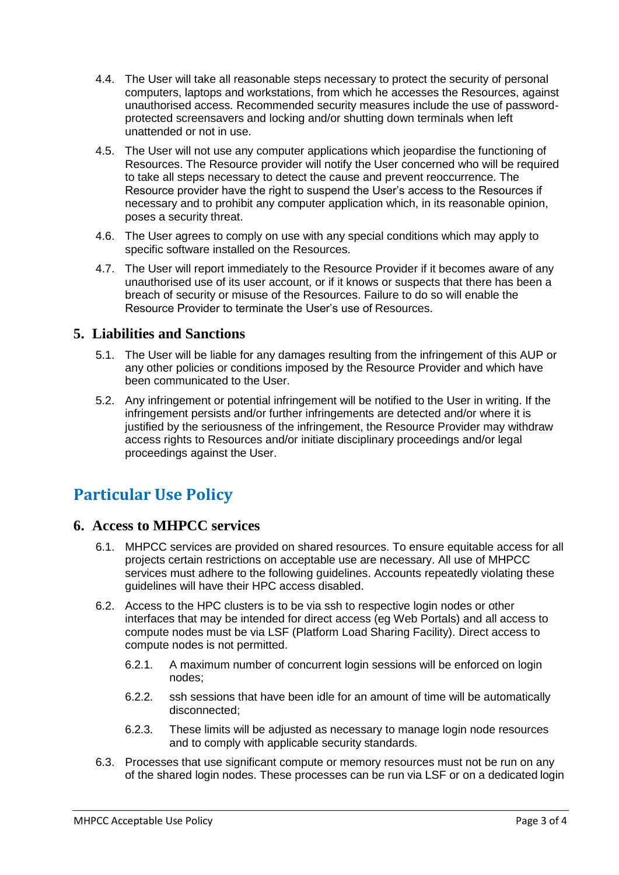- 4.4. The User will take all reasonable steps necessary to protect the security of personal computers, laptops and workstations, from which he accesses the Resources, against unauthorised access. Recommended security measures include the use of passwordprotected screensavers and locking and/or shutting down terminals when left unattended or not in use.
- 4.5. The User will not use any computer applications which jeopardise the functioning of Resources. The Resource provider will notify the User concerned who will be required to take all steps necessary to detect the cause and prevent reoccurrence. The Resource provider have the right to suspend the User's access to the Resources if necessary and to prohibit any computer application which, in its reasonable opinion, poses a security threat.
- 4.6. The User agrees to comply on use with any special conditions which may apply to specific software installed on the Resources.
- 4.7. The User will report immediately to the Resource Provider if it becomes aware of any unauthorised use of its user account, or if it knows or suspects that there has been a breach of security or misuse of the Resources. Failure to do so will enable the Resource Provider to terminate the User's use of Resources.

### **5. Liabilities and Sanctions**

- 5.1. The User will be liable for any damages resulting from the infringement of this AUP or any other policies or conditions imposed by the Resource Provider and which have been communicated to the User.
- 5.2. Any infringement or potential infringement will be notified to the User in writing. If the infringement persists and/or further infringements are detected and/or where it is justified by the seriousness of the infringement, the Resource Provider may withdraw access rights to Resources and/or initiate disciplinary proceedings and/or legal proceedings against the User.

## **Particular Use Policy**

### **6. Access to MHPCC services**

- 6.1. MHPCC services are provided on shared resources. To ensure equitable access for all projects certain restrictions on acceptable use are necessary. All use of MHPCC services must adhere to the following guidelines. Accounts repeatedly violating these guidelines will have their HPC access disabled.
- 6.2. Access to the HPC clusters is to be via ssh to respective login nodes or other interfaces that may be intended for direct access (eg Web Portals) and all access to compute nodes must be via LSF (Platform Load Sharing Facility). Direct access to compute nodes is not permitted.
	- 6.2.1. A maximum number of concurrent login sessions will be enforced on login nodes;
	- 6.2.2. ssh sessions that have been idle for an amount of time will be automatically disconnected;
	- 6.2.3. These limits will be adjusted as necessary to manage login node resources and to comply with applicable security standards.
- 6.3. Processes that use significant compute or memory resources must not be run on any of the shared login nodes. These processes can be run via LSF or on a dedicated login